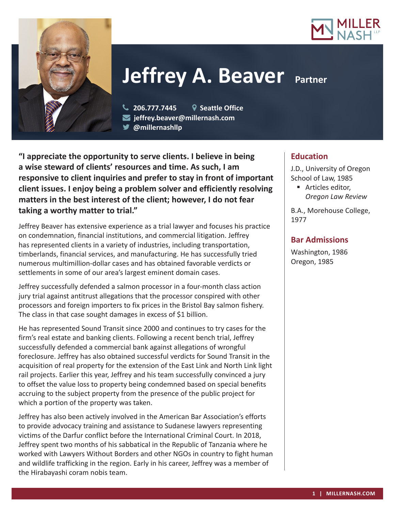



# **Jeffrey A. Beaver** Partner

 **206.777.7445 Seattle Office jeffrey.beaver@millernash.com @millernashllp** 

**"I appreciate the opportunity to serve clients. I believe in being a wise steward of clients' resources and time. As such, I am responsive to client inquiries and prefer to stay in front of important client issues. I enjoy being a problem solver and efficiently resolving matters in the best interest of the client; however, I do not fear taking a worthy matter to trial."**

Jeffrey Beaver has extensive experience as a trial lawyer and focuses his practice on condemnation, financial institutions, and commercial litigation. Jeffrey has represented clients in a variety of industries, including transportation, timberlands, financial services, and manufacturing. He has successfully tried numerous multimillion-dollar cases and has obtained favorable verdicts or settlements in some of our area's largest eminent domain cases.

Jeffrey successfully defended a salmon processor in a four-month class action jury trial against antitrust allegations that the processor conspired with other processors and foreign importers to fix prices in the Bristol Bay salmon fishery. The class in that case sought damages in excess of \$1 billion.

He has represented Sound Transit since 2000 and continues to try cases for the firm's real estate and banking clients. Following a recent bench trial, Jeffrey successfully defended a commercial bank against allegations of wrongful foreclosure. Jeffrey has also obtained successful verdicts for Sound Transit in the acquisition of real property for the extension of the East Link and North Link light rail projects. Earlier this year, Jeffrey and his team successfully convinced a jury to offset the value loss to property being condemned based on special benefits accruing to the subject property from the presence of the public project for which a portion of the property was taken.

Jeffrey has also been actively involved in the American Bar Association's efforts to provide advocacy training and assistance to Sudanese lawyers representing victims of the Darfur conflict before the International Criminal Court. In 2018, Jeffrey spent two months of his sabbatical in the Republic of Tanzania where he worked with Lawyers Without Borders and other NGOs in country to fight human and wildlife trafficking in the region. Early in his career, Jeffrey was a member of the Hirabayashi coram nobis team.

# **Education**

J.D., University of Oregon School of Law, 1985

■ Articles editor, *Oregon Law Review*

B.A., Morehouse College, 1977

# **Bar Admissions**

Washington, 1986 Oregon, 1985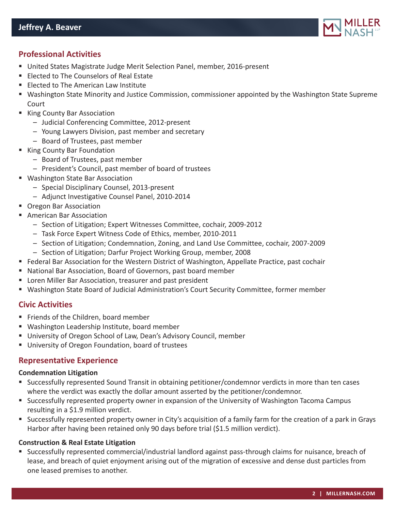

# **Professional Activities**

- United States Magistrate Judge Merit Selection Panel, member, 2016-present
- **Elected to The Counselors of Real Estate**
- **Elected to The American Law Institute**
- Washington State Minority and Justice Commission, commissioner appointed by the Washington State Supreme Court
- King County Bar Association
	- Judicial Conferencing Committee, 2012-present
	- Young Lawyers Division, past member and secretary
	- Board of Trustees, past member
- King County Bar Foundation
	- Board of Trustees, past member
	- President's Council, past member of board of trustees
- Washington State Bar Association
	- Special Disciplinary Counsel, 2013-present
	- Adjunct Investigative Counsel Panel, 2010-2014
- **Oregon Bar Association**
- American Bar Association
	- Section of Litigation; Expert Witnesses Committee, cochair, 2009-2012
	- Task Force Expert Witness Code of Ethics, member, 2010-2011
	- Section of Litigation; Condemnation, Zoning, and Land Use Committee, cochair, 2007-2009
	- Section of Litigation; Darfur Project Working Group, member, 2008
- **Federal Bar Association for the Western District of Washington, Appellate Practice, past cochair**
- National Bar Association, Board of Governors, past board member
- **E** Loren Miller Bar Association, treasurer and past president
- Washington State Board of Judicial Administration's Court Security Committee, former member

# **Civic Activities**

- Friends of the Children, board member
- Washington Leadership Institute, board member
- University of Oregon School of Law, Dean's Advisory Council, member
- **University of Oregon Foundation, board of trustees**

## **Representative Experience**

#### **Condemnation Litigation**

- Successfully represented Sound Transit in obtaining petitioner/condemnor verdicts in more than ten cases where the verdict was exactly the dollar amount asserted by the petitioner/condemnor.
- Successfully represented property owner in expansion of the University of Washington Tacoma Campus resulting in a \$1.9 million verdict.
- Successfully represented property owner in City's acquisition of a family farm for the creation of a park in Grays Harbor after having been retained only 90 days before trial (\$1.5 million verdict).

#### **Construction & Real Estate Litigation**

 Successfully represented commercial/industrial landlord against pass-through claims for nuisance, breach of lease, and breach of quiet enjoyment arising out of the migration of excessive and dense dust particles from one leased premises to another.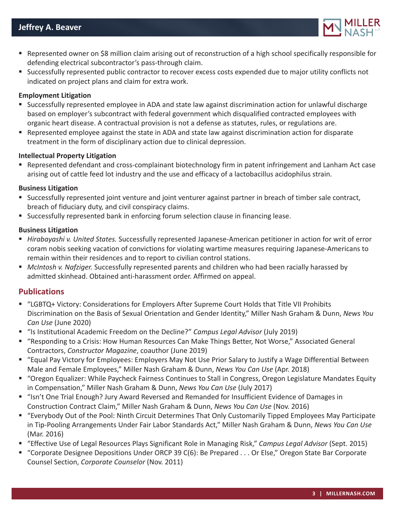

- Represented owner on \$8 million claim arising out of reconstruction of a high school specifically responsible for defending electrical subcontractor's pass-through claim.
- Successfully represented public contractor to recover excess costs expended due to major utility conflicts not indicated on project plans and claim for extra work.

#### **Employment Litigation**

- Successfully represented employee in ADA and state law against discrimination action for unlawful discharge based on employer's subcontract with federal government which disqualified contracted employees with organic heart disease. A contractual provision is not a defense as statutes, rules, or regulations are.
- Represented employee against the state in ADA and state law against discrimination action for disparate treatment in the form of disciplinary action due to clinical depression.

## **Intellectual Property Litigation**

 Represented defendant and cross-complainant biotechnology firm in patent infringement and Lanham Act case arising out of cattle feed lot industry and the use and efficacy of a lactobacillus acidophilus strain.

#### **Business Litigation**

- Successfully represented joint venture and joint venturer against partner in breach of timber sale contract, breach of fiduciary duty, and civil conspiracy claims.
- Successfully represented bank in enforcing forum selection clause in financing lease.

## **Business Litigation**

- *Hirabayashi v. United States.* Successfully represented Japanese-American petitioner in action for writ of error coram nobis seeking vacation of convictions for violating wartime measures requiring Japanese-Americans to remain within their residences and to report to civilian control stations.
- *McIntosh v. Nafziger.* Successfully represented parents and children who had been racially harassed by admitted skinhead. Obtained anti-harassment order. Affirmed on appeal.

# **Publications**

- "LGBTQ+ Victory: Considerations for Employers After Supreme Court Holds that Title VII Prohibits Discrimination on the Basis of Sexual Orientation and Gender Identity," Miller Nash Graham & Dunn, *News You Can Use* (June 2020)
- "Is Institutional Academic Freedom on the Decline?" *Campus Legal Advisor* (July 2019)
- "Responding to a Crisis: How Human Resources Can Make Things Better, Not Worse," Associated General Contractors, *Constructor Magazine*, coauthor (June 2019)
- "Equal Pay Victory for Employees: Employers May Not Use Prior Salary to Justify a Wage Differential Between Male and Female Employees," Miller Nash Graham & Dunn, *News You Can Use* (Apr. 2018)
- "Oregon Equalizer: While Paycheck Fairness Continues to Stall in Congress, Oregon Legislature Mandates Equity in Compensation," Miller Nash Graham & Dunn, *News You Can Use* (July 2017)
- "Isn't One Trial Enough? Jury Award Reversed and Remanded for Insufficient Evidence of Damages in Construction Contract Claim," Miller Nash Graham & Dunn, *News You Can Use* (Nov. 2016)
- "Everybody Out of the Pool: Ninth Circuit Determines That Only Customarily Tipped Employees May Participate in Tip-Pooling Arrangements Under Fair Labor Standards Act," Miller Nash Graham & Dunn, *News You Can Use* (Mar. 2016)
- "Effective Use of Legal Resources Plays Significant Role in Managing Risk," *Campus Legal Advisor* (Sept. 2015)
- "Corporate Designee Depositions Under ORCP 39 C(6): Be Prepared . . . Or Else," Oregon State Bar Corporate Counsel Section, *Corporate Counselor* (Nov. 2011)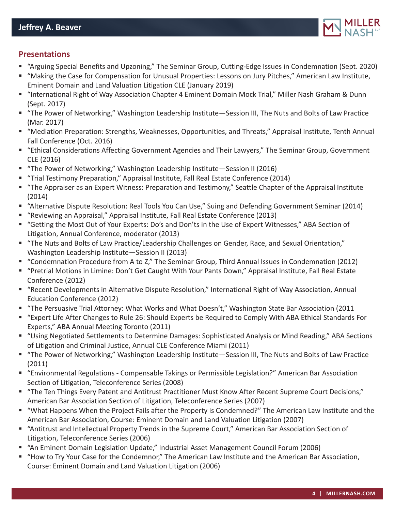

# **Presentations**

- "Arguing Special Benefits and Upzoning," The Seminar Group, Cutting-Edge Issues in Condemnation (Sept. 2020)
- "Making the Case for Compensation for Unusual Properties: Lessons on Jury Pitches," American Law Institute, Eminent Domain and Land Valuation Litigation CLE (January 2019)
- "International Right of Way Association Chapter 4 Eminent Domain Mock Trial," Miller Nash Graham & Dunn (Sept. 2017)
- "The Power of Networking," Washington Leadership Institute—Session III, The Nuts and Bolts of Law Practice (Mar. 2017)
- "Mediation Preparation: Strengths, Weaknesses, Opportunities, and Threats," Appraisal Institute, Tenth Annual Fall Conference (Oct. 2016)
- "Ethical Considerations Affecting Government Agencies and Their Lawyers," The Seminar Group, Government CLE (2016)
- "The Power of Networking," Washington Leadership Institute—Session II (2016)
- "Trial Testimony Preparation," Appraisal Institute, Fall Real Estate Conference (2014)
- "The Appraiser as an Expert Witness: Preparation and Testimony," Seattle Chapter of the Appraisal Institute (2014)
- "Alternative Dispute Resolution: Real Tools You Can Use," Suing and Defending Government Seminar (2014)
- "Reviewing an Appraisal," Appraisal Institute, Fall Real Estate Conference (2013)
- "Getting the Most Out of Your Experts: Do's and Don'ts in the Use of Expert Witnesses," ABA Section of Litigation, Annual Conference, moderator (2013)
- "The Nuts and Bolts of Law Practice/Leadership Challenges on Gender, Race, and Sexual Orientation," Washington Leadership Institute—Session II (2013)
- "Condemnation Procedure from A to Z," The Seminar Group, Third Annual Issues in Condemnation (2012)
- "Pretrial Motions in Limine: Don't Get Caught With Your Pants Down," Appraisal Institute, Fall Real Estate Conference (2012)
- "Recent Developments in Alternative Dispute Resolution," International Right of Way Association, Annual Education Conference (2012)
- "The Persuasive Trial Attorney: What Works and What Doesn't," Washington State Bar Association (2011
- "Expert Life After Changes to Rule 26: Should Experts be Required to Comply With ABA Ethical Standards For Experts," ABA Annual Meeting Toronto (2011)
- "Using Negotiated Settlements to Determine Damages: Sophisticated Analysis or Mind Reading," ABA Sections of Litigation and Criminal Justice, Annual CLE Conference Miami (2011)
- "The Power of Networking," Washington Leadership Institute—Session III, The Nuts and Bolts of Law Practice (2011)
- "Environmental Regulations Compensable Takings or Permissible Legislation?" American Bar Association Section of Litigation, Teleconference Series (2008)
- "The Ten Things Every Patent and Antitrust Practitioner Must Know After Recent Supreme Court Decisions," American Bar Association Section of Litigation, Teleconference Series (2007)
- "What Happens When the Project Fails after the Property is Condemned?" The American Law Institute and the American Bar Association, Course: Eminent Domain and Land Valuation Litigation (2007)
- "Antitrust and Intellectual Property Trends in the Supreme Court," American Bar Association Section of Litigation, Teleconference Series (2006)
- "An Eminent Domain Legislation Update," Industrial Asset Management Council Forum (2006)
- "How to Try Your Case for the Condemnor," The American Law Institute and the American Bar Association, Course: Eminent Domain and Land Valuation Litigation (2006)